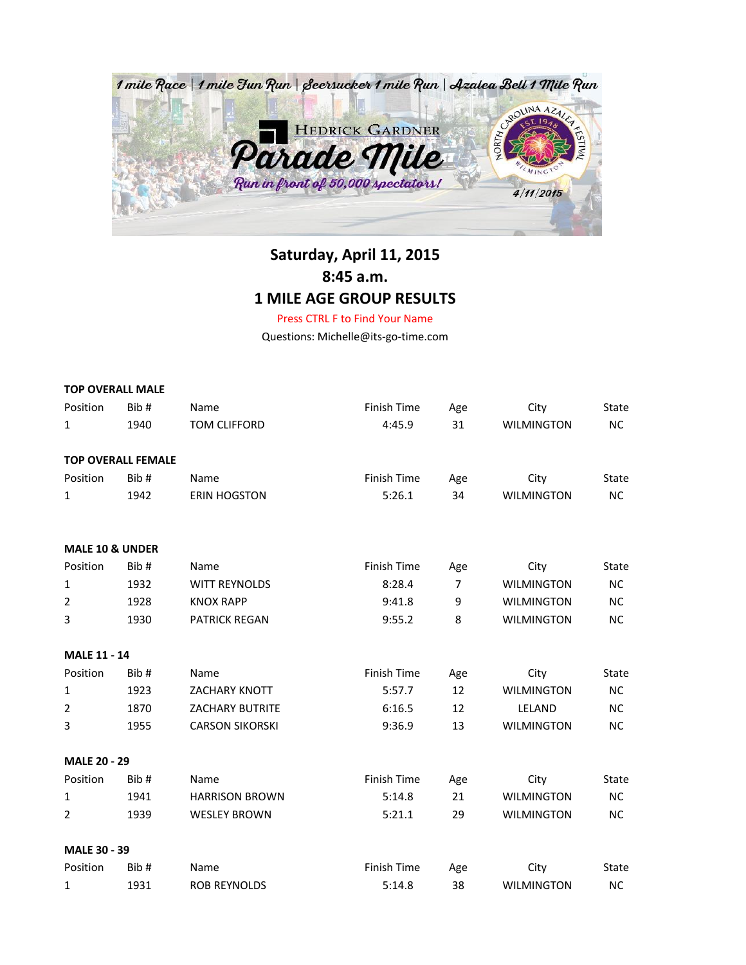

## **Saturday, April 11, 2015 8:45 a.m. 1 MILE AGE GROUP RESULTS**

Press CTRL F to Find Your Name

Questions: Michelle@its-go-time.com

|                            | <b>TOP OVERALL MALE</b>   |                        |                    |                |                   |              |
|----------------------------|---------------------------|------------------------|--------------------|----------------|-------------------|--------------|
| Position                   | Bib#                      | Name                   | Finish Time        | Age            | City              | <b>State</b> |
| 1                          | 1940                      | <b>TOM CLIFFORD</b>    | 4:45.9             | 31             | <b>WILMINGTON</b> | NC           |
|                            | <b>TOP OVERALL FEMALE</b> |                        |                    |                |                   |              |
| Position                   | Bib#                      | Name                   | Finish Time        | Age            | City              | State        |
| 1                          | 1942                      | <b>ERIN HOGSTON</b>    | 5:26.1             | 34             | <b>WILMINGTON</b> | <b>NC</b>    |
| <b>MALE 10 &amp; UNDER</b> |                           |                        |                    |                |                   |              |
| Position                   | Bib #                     | Name                   | <b>Finish Time</b> | Age            | City              | <b>State</b> |
| $\mathbf{1}$               | 1932                      | <b>WITT REYNOLDS</b>   | 8:28.4             | $\overline{7}$ | <b>WILMINGTON</b> | <b>NC</b>    |
| $\overline{2}$             | 1928                      | <b>KNOX RAPP</b>       | 9:41.8             | 9              | <b>WILMINGTON</b> | <b>NC</b>    |
| 3                          | 1930                      | <b>PATRICK REGAN</b>   | 9:55.2             | 8              | <b>WILMINGTON</b> | <b>NC</b>    |
| <b>MALE 11 - 14</b>        |                           |                        |                    |                |                   |              |
| Position                   | Bib #                     | Name                   | Finish Time        | Age            | City              | <b>State</b> |
| $\mathbf{1}$               | 1923                      | <b>ZACHARY KNOTT</b>   | 5:57.7             | 12             | <b>WILMINGTON</b> | <b>NC</b>    |
| 2                          | 1870                      | <b>ZACHARY BUTRITE</b> | 6:16.5             | 12             | LELAND            | <b>NC</b>    |
| 3                          | 1955                      | <b>CARSON SIKORSKI</b> | 9:36.9             | 13             | <b>WILMINGTON</b> | <b>NC</b>    |
| <b>MALE 20 - 29</b>        |                           |                        |                    |                |                   |              |
| Position                   | Bib#                      | Name                   | Finish Time        | Age            | City              | <b>State</b> |
| 1                          | 1941                      | <b>HARRISON BROWN</b>  | 5:14.8             | 21             | <b>WILMINGTON</b> | <b>NC</b>    |
| 2                          | 1939                      | <b>WESLEY BROWN</b>    | 5:21.1             | 29             | <b>WILMINGTON</b> | <b>NC</b>    |
| <b>MALE 30 - 39</b>        |                           |                        |                    |                |                   |              |
| Position                   | Bib#                      | Name                   | Finish Time        | Age            | City              | State        |
| 1                          | 1931                      | <b>ROB REYNOLDS</b>    | 5:14.8             | 38             | <b>WILMINGTON</b> | <b>NC</b>    |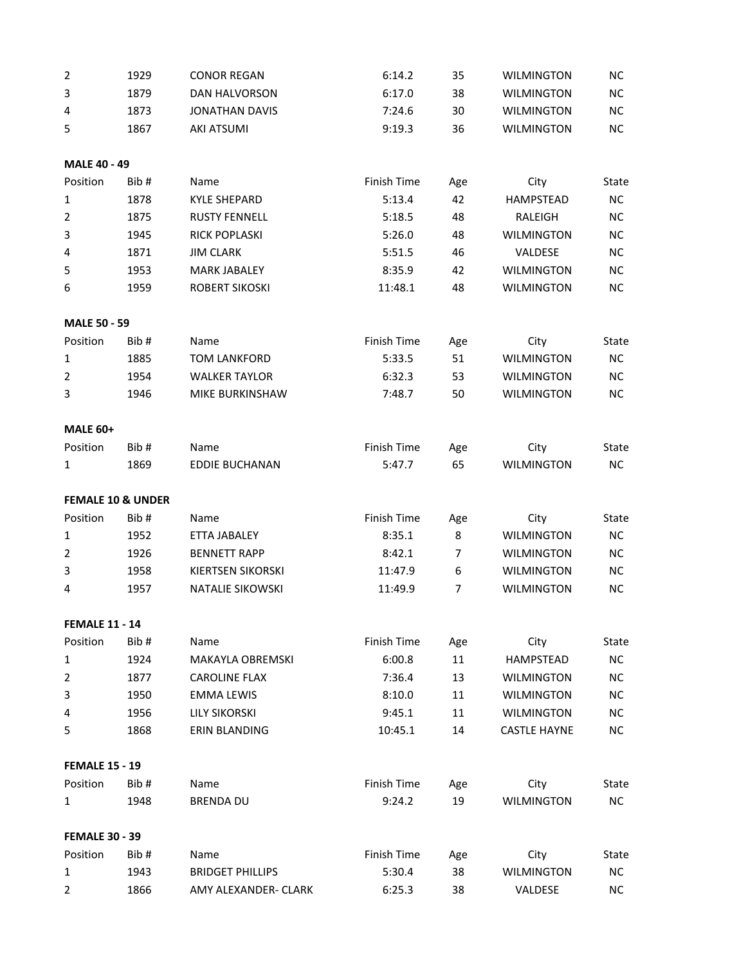| $\overline{2}$        | 1929                         | <b>CONOR REGAN</b>       | 6:14.2      | 35  | <b>WILMINGTON</b>   | <b>NC</b>    |
|-----------------------|------------------------------|--------------------------|-------------|-----|---------------------|--------------|
| 3                     | 1879                         | DAN HALVORSON            | 6:17.0      | 38  | <b>WILMINGTON</b>   | NC           |
| 4                     | 1873                         | <b>JONATHAN DAVIS</b>    | 7:24.6      | 30  | <b>WILMINGTON</b>   | ΝC           |
| 5                     | 1867                         | <b>AKI ATSUMI</b>        | 9:19.3      | 36  | <b>WILMINGTON</b>   | <b>NC</b>    |
| <b>MALE 40 - 49</b>   |                              |                          |             |     |                     |              |
| Position              | Bib#                         | Name                     | Finish Time | Age | City                | <b>State</b> |
| 1                     | 1878                         | <b>KYLE SHEPARD</b>      | 5:13.4      | 42  | <b>HAMPSTEAD</b>    | <b>NC</b>    |
| $\overline{2}$        | 1875                         | <b>RUSTY FENNELL</b>     | 5:18.5      | 48  | RALEIGH             | <b>NC</b>    |
| 3                     | 1945                         | <b>RICK POPLASKI</b>     | 5:26.0      | 48  | <b>WILMINGTON</b>   | ΝC           |
| 4                     | 1871                         | <b>JIM CLARK</b>         | 5:51.5      | 46  | VALDESE             | <b>NC</b>    |
| 5                     | 1953                         | <b>MARK JABALEY</b>      | 8:35.9      | 42  | <b>WILMINGTON</b>   | <b>NC</b>    |
| 6                     | 1959                         | <b>ROBERT SIKOSKI</b>    | 11:48.1     | 48  | <b>WILMINGTON</b>   | <b>NC</b>    |
| <b>MALE 50 - 59</b>   |                              |                          |             |     |                     |              |
| Position              | Bib#                         | Name                     | Finish Time | Age | City                | <b>State</b> |
| $\mathbf{1}$          | 1885                         | <b>TOM LANKFORD</b>      | 5:33.5      | 51  | <b>WILMINGTON</b>   | ΝC           |
| $\overline{2}$        | 1954                         | <b>WALKER TAYLOR</b>     | 6:32.3      | 53  | <b>WILMINGTON</b>   | <b>NC</b>    |
| 3                     | 1946                         | MIKE BURKINSHAW          | 7:48.7      | 50  | <b>WILMINGTON</b>   | <b>NC</b>    |
| <b>MALE 60+</b>       |                              |                          |             |     |                     |              |
| Position              | Bib#                         | Name                     | Finish Time | Age | City                | <b>State</b> |
| 1                     | 1869                         | <b>EDDIE BUCHANAN</b>    | 5:47.7      | 65  | <b>WILMINGTON</b>   | NC           |
|                       | <b>FEMALE 10 &amp; UNDER</b> |                          |             |     |                     |              |
| Position              | Bib#                         | Name                     | Finish Time | Age | City                | <b>State</b> |
| 1                     | 1952                         | ETTA JABALEY             | 8:35.1      | 8   | <b>WILMINGTON</b>   | <b>NC</b>    |
| $\overline{2}$        | 1926                         | <b>BENNETT RAPP</b>      | 8:42.1      | 7   | <b>WILMINGTON</b>   | <b>NC</b>    |
| 3                     | 1958                         | <b>KIERTSEN SIKORSKI</b> | 11:47.9     | 6   | WILMINGTON          | <b>NC</b>    |
| 4                     | 1957                         | NATALIE SIKOWSKI         | 11:49.9     | 7   | <b>WILMINGTON</b>   | <b>NC</b>    |
| <b>FEMALE 11 - 14</b> |                              |                          |             |     |                     |              |
| Position              | Bib#                         | Name                     | Finish Time | Age | City                | State        |
| 1                     | 1924                         | MAKAYLA OBREMSKI         | 6:00.8      | 11  | <b>HAMPSTEAD</b>    | NC           |
| $\overline{2}$        | 1877                         | <b>CAROLINE FLAX</b>     | 7:36.4      | 13  | <b>WILMINGTON</b>   | <b>NC</b>    |
| 3                     | 1950                         | <b>EMMA LEWIS</b>        | 8:10.0      | 11  | <b>WILMINGTON</b>   | NC           |
| 4                     | 1956                         | <b>LILY SIKORSKI</b>     | 9:45.1      | 11  | <b>WILMINGTON</b>   | <b>NC</b>    |
| 5                     | 1868                         | <b>ERIN BLANDING</b>     | 10:45.1     | 14  | <b>CASTLE HAYNE</b> | <b>NC</b>    |
| <b>FEMALE 15 - 19</b> |                              |                          |             |     |                     |              |
| Position              | Bib#                         | Name                     | Finish Time | Age | City                | <b>State</b> |
| $\mathbf{1}$          | 1948                         | <b>BRENDA DU</b>         | 9:24.2      | 19  | <b>WILMINGTON</b>   | NC           |
| <b>FEMALE 30 - 39</b> |                              |                          |             |     |                     |              |
| Position              | Bib#                         | Name                     | Finish Time | Age | City                | State        |
| $\mathbf{1}$          | 1943                         | <b>BRIDGET PHILLIPS</b>  | 5:30.4      | 38  | <b>WILMINGTON</b>   | <b>NC</b>    |
| 2                     | 1866                         | AMY ALEXANDER- CLARK     | 6:25.3      | 38  | VALDESE             | NC           |